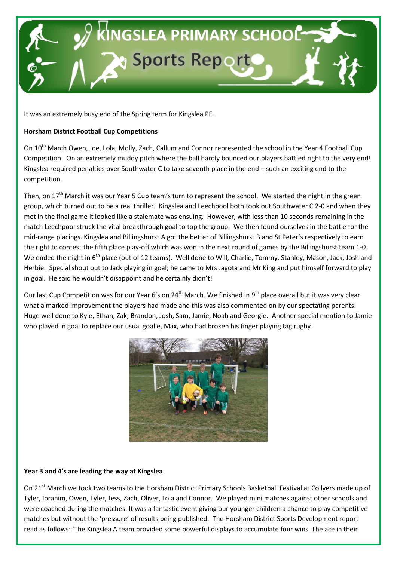

It was an extremely busy end of the Spring term for Kingslea PE.

### **Horsham District Football Cup Competitions**

On 10<sup>th</sup> March Owen, Joe, Lola, Molly, Zach, Callum and Connor represented the school in the Year 4 Football Cup Competition. On an extremely muddy pitch where the ball hardly bounced our players battled right to the very end! Kingslea required penalties over Southwater C to take seventh place in the end – such an exciting end to the competition.

Then, on 17<sup>th</sup> March it was our Year 5 Cup team's turn to represent the school. We started the night in the green group, which turned out to be a real thriller. Kingslea and Leechpool both took out Southwater C 2-0 and when they met in the final game it looked like a stalemate was ensuing. However, with less than 10 seconds remaining in the match Leechpool struck the vital breakthrough goal to top the group. We then found ourselves in the battle for the mid-range placings. Kingslea and Billingshurst A got the better of Billingshurst B and St Peter's respectively to earn the right to contest the fifth place play-off which was won in the next round of games by the Billingshurst team 1-0. We ended the night in 6<sup>th</sup> place (out of 12 teams). Well done to Will, Charlie, Tommy, Stanley, Mason, Jack, Josh and Herbie. Special shout out to Jack playing in goal; he came to Mrs Jagota and Mr King and put himself forward to play in goal. He said he wouldn't disappoint and he certainly didn't!

Our last Cup Competition was for our Year 6's on 24<sup>th</sup> March. We finished in 9<sup>th</sup> place overall but it was very clear what a marked improvement the players had made and this was also commented on by our spectating parents. Huge well done to Kyle, Ethan, Zak, Brandon, Josh, Sam, Jamie, Noah and Georgie. Another special mention to Jamie who played in goal to replace our usual goalie, Max, who had broken his finger playing tag rugby!



### **Year 3 and 4's are leading the way at Kingslea**

On 21<sup>st</sup> March we took two teams to the Horsham District Primary Schools Basketball Festival at Collyers made up of Tyler, Ibrahim, Owen, Tyler, Jess, Zach, Oliver, Lola and Connor. We played mini matches against other schools and were coached during the matches. It was a fantastic event giving our younger children a chance to play competitive matches but without the 'pressure' of results being published. The Horsham District Sports Development report read as follows: 'The Kingslea A team provided some powerful displays to accumulate four wins. The ace in their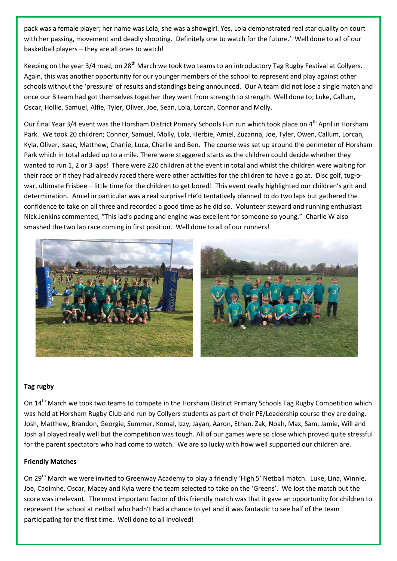pack was a female player; her name was Lola, she was a showgirl. Yes, Lola demonstrated real star quality on court with her passing, movement and deadly shooting. Definitely one to watch for the future.' Well done to all of our basketball players – they are all ones to watch!

Keeping on the year 3/4 road, on 28<sup>th</sup> March we took two teams to an introductory Tag Rugby Festival at Collyers. Again, this was another opportunity for our younger members of the school to represent and play against other schools without the 'pressure' of results and standings being announced. Our A team did not lose a single match and once our B team had got themselves together they went from strength to strength. Well done to; Luke, Callum, Oscar, Hollie. Samuel, Alfie, Tyler, Oliver, Joe, Sean, Lola, Lorcan, Connor and Molly.

Our final Year 3/4 event was the Horsham District Primary Schools Fun run which took place on 4<sup>th</sup> April in Horsham Park. We took 20 children; Connor, Samuel, Molly, Lola, Herbie, Amiel, Zuzanna, Joe, Tyler, Owen, Callum, Lorcan, Kyla, Oliver, Isaac, Matthew, Charlie, Luca, Charlie and Ben. The course was set up around the perimeter of Horsham Park which in total added up to a mile. There were staggered starts as the children could decide whether they wanted to run 1, 2 or 3 laps! There were 220 children at the event in total and whilst the children were waiting for their race or if they had already raced there were other activities for the children to have a go at. Disc golf, tug-owar, ultimate Frisbee – little time for the children to get bored! This event really highlighted our children's grit and determination. Amiel in particular was a real surprise! He'd tentatively planned to do two laps but gathered the confidence to take on all three and recorded a good time as he did so. Volunteer steward and running enthusiast Nick Jenkins commented, "This lad's pacing and engine was excellent for someone so young." Charlie W also smashed the two lap race coming in first position. Well done to all of our runners!



#### **Tag rugby**

On 14<sup>th</sup> March we took two teams to compete in the Horsham District Primary Schools Tag Rugby Competition which was held at Horsham Rugby Club and run by Collyers students as part of their PE/Leadership course they are doing. Josh, Matthew, Brandon, Georgie, Summer, Komal, Izzy, Jayan, Aaron, Ethan, Zak, Noah, Max, Sam, Jamie, Will and Josh all played really well but the competition was tough. All of our games were so close which proved quite stressful for the parent spectators who had come to watch. We are so lucky with how well supported our children are.

#### **Friendly Matches**

On 29<sup>th</sup> March we were invited to Greenway Academy to play a friendly 'High 5' Netball match. Luke, Lina, Winnie, Joe, Caoimhe, Oscar, Macey and Kyla were the team selected to take on the 'Greens'. We lost the match but the score was irrelevant. The most important factor of this friendly match was that it gave an opportunity for children to represent the school at netball who hadn't had a chance to yet and it was fantastic to see half of the team participating for the first time. Well done to all involved!